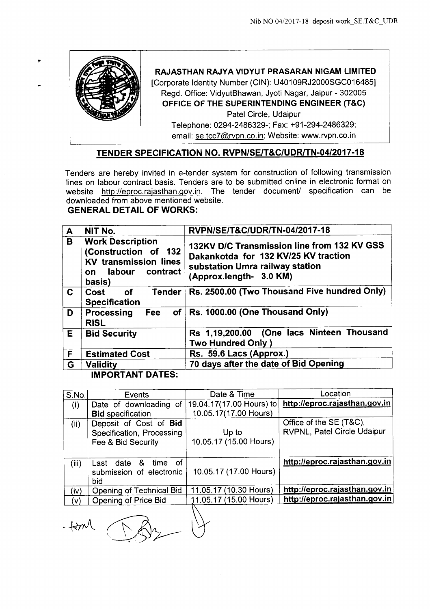

 $+$ tim $\Lambda$ 

~

 $\beta_2$ 

•

**RAJASTHAN RAJYA VIDYUT PRASARAN NIGAM LIMITED** [Corporate Identity Number (CIN): U40109RJ2000SGC016485]

Regd. Office: VidyutBhawan, Jyoti Nagar, Jaipur - 302005 **OFFICE OF THE SUPERINTENDING ENGINEER (T&C)** Patel Circle, Udaipur

Telephone: 0294-2486329-; Fax: +91-294-2486329; email: se.tcc7@rvpn.co.in; Website: www.rvpn.co.in

# **TENDER SPECIFICATION NO. RVPN/SE/T&C/UDRlTN-04/2017-18**

Tenders are hereby invited in e-tender system for construction of following transmission lines on labour contract basis. Tenders are to be submitted online in electronic format on website http://eproc.rajasthan.gov.in. The tender document/ specification can be downloaded from above mentioned website.

# **GENERAL DETAIL OF WORKS:**

| $\mathbf{A}$ | NIT No.                                                                                                               | RVPN/SE/T&C/UDR/TN-04/2017-18                                                                                                                     |  |
|--------------|-----------------------------------------------------------------------------------------------------------------------|---------------------------------------------------------------------------------------------------------------------------------------------------|--|
| B            | <b>Work Description</b><br>(Construction of 132<br><b>KV transmission lines</b><br>labour<br>contract<br>on<br>basis) | 132KV D/C Transmission line from 132 KV GSS<br>Dakankotda for 132 KV/25 KV traction<br>substation Umra railway station<br>(Approx.length- 3.0 KM) |  |
| C            | <b>Tender</b><br>Cost<br><b>of</b><br><b>Specification</b>                                                            | Rs. 2500.00 (Two Thousand Five hundred Only)                                                                                                      |  |
| D            | of<br>Processing<br>Fee<br><b>RISL</b>                                                                                | Rs. 1000.00 (One Thousand Only)                                                                                                                   |  |
| E            | <b>Bid Security</b>                                                                                                   | Rs 1,19,200.00 (One lacs Ninteen Thousand<br><b>Two Hundred Only)</b>                                                                             |  |
| F            | <b>Estimated Cost</b>                                                                                                 | Rs. 59.6 Lacs (Approx.)                                                                                                                           |  |
| G            | <b>Validity</b>                                                                                                       | 70 days after the date of Bid Opening                                                                                                             |  |
|              | <b>IMPORTANT DATES:</b>                                                                                               |                                                                                                                                                   |  |

| S.No. | Events                                                                    | Date & Time                     | Location                                               |
|-------|---------------------------------------------------------------------------|---------------------------------|--------------------------------------------------------|
| (i)   | Date of downloading of                                                    | 19.04.17(17.00 Hours) to        | http://eproc.rajasthan.gov.in                          |
|       | <b>Bid specification</b>                                                  | 10.05.17(17.00 Hours)           |                                                        |
| (ii)  | Deposit of Cost of Bid<br>Specification, Processing<br>Fee & Bid Security | Up to<br>10.05.17 (15.00 Hours) | Office of the SE (T&C),<br>RVPNL, Patel Circle Udaipur |
| (iii) | - of<br>& time<br>date<br>Last<br>submission of electronic<br>bid         | 10.05.17 (17.00 Hours)          | http://eproc.rajasthan.gov.in                          |
| (iv)  | Opening of Technical Bid                                                  | 11.05.17 (10.30 Hours)          | http://eproc.rajasthan.gov.in                          |
| (V)   | Opening of Price Bid                                                      | 11.05.17 (15.00 Hours)          | http://eproc.rajasthan.gov.in                          |
|       |                                                                           |                                 |                                                        |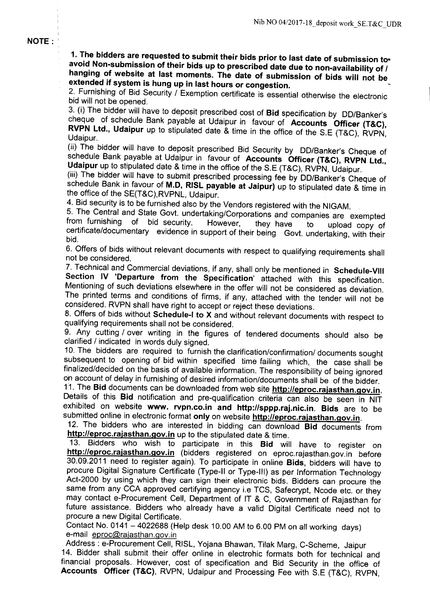**NOTE:** 

1. The bidders are requested to submit their bids prior to last date of submission toavoid Non-submission of their bids up to prescribed date due to non-availability of *I* hanging of website at last moments. The date of submission of bids will not be extended if system is hung up in last hours or congestion.

2. Furnishing of Bid Security / Exemption certificate is essential otherwise the electronic bid will not be opened.

3. (i) The bidder will have to deposit prescribed cost of Bid specification by DO/Banker's cheque of schedule Bank payable at Udaipur in favour of Accounts Officer (T&C), RVPN Ltd., Udaipur up to stipulated date & time in the office of the S.E (T&C), RVPN, Udaipur.

(ii) The bidder will have to deposit prescribed Bid Security by DO/Banker's Cheque of schedule Bank payable at Udaipur in favour of Accounts Officer (T&C), RVPN Ltd., Udaipur up to stipulated date & time in the office of the S.E (T&C), RVPN, Udaipur.

(iii) The bidder will have to submit prescribed processing fee by DO/Banker's Cheque of schedule Bank in favour of M.D, RISL payable at Jaipur) up to stipulated date & time in the office of the SE(T&C),RVPNL, Udaipur.

4. Bid security is to be furnished also by the Vendors registered with the NIGAM.

5. The Central and State Govt. undertaking/Corporations and companies are exempted from furnishing of bid security. However, they have to upload conv of from furnishing of bid security. However, they have to upload copy of certificate/documentary evidence in support of their being Govt. undertaking, with their bid.

6. Offers of bids without relevant documents with respect to qualifying requirements shall not be considered.

7. Technical and Commercial deviations, if any, shall only be mentioned in Schedule-VIII Section IV 'Departure from the Specification' attached with this specification. Mentioning of such deviations elsewhere in the offer will not be considered as deviation. The printed terms and conditions of firms, if any, attached with the tender will not be considered. RVPN shall have right to accept or reject these deviations.

8. Offers of bids without Schedule-I to X and without relevant documents with respect to qualifying requirements shall not be considered.

9. Any cutting / over writing in the figures of tendered documents should also be clarified / indicated in words duly signed.

10. The bidders are required to furnish the clarification/confirmation/ documents sought subsequent to opening of bid within specified time failing which, the case shall be finalized/decided on the basis of available information. The responsibility of being ignored on account of delay in furnishing of desired information/documents shall be of the bidder.

11. The Bid documents can be downloaded from web site http://eproc.rajasthan.gov.in. Details of this Bid notification and pre-qualification criteria can also be seen in NIT exhibited on website www. rvpn.co.in and http://sppp.raj.nic.in. Bids are to be submitted online in electronic format only on website http://eproc.rajasthan.gov.in.

12. The bidders who are interested in bidding can download Bid documents from http://eproc.rajasthan.gov.in up to the stipulated date & time.

13. Bidders who wish to participate in this Bid will have to register on http://eproc.rajasthan.gov.in (bidders registered on eproc.rajasthan.gov.in before 30.09.2011 need to register again). To participate in online Bids, bidders will have to procure Digital Signature Certificate (Type-II or Type-III) as per Information Technology Act-2000 by using which they can sign their electronic bids. Bidders can procure the same from any CCA approved certifying agency i.e TCS, Safecrypt, Ncode etc. or they may contact e-Procurement Cell, Department of IT & C, Government of Rajasthan for future assistance. Bidders who already have a valid Digital Certificate need not to procure a new Digital Certificate.

Contact No. 0141 - 4022688 (Help desk 10.00 AM to 6.00 PM on all working days) e-mail eproc@rajasthan.gov.in

Address: e-Procurement Cell, RISL, Yojana Bhawan, Tilak Marg, C-Scheme, Jaipur 14. Bidder shall submit their offer online in electrohic formats both for technical and financial proposals. However, cost of specification and Bid Security in the office of Accounts Officer (T&C), RVPN, Udaipur and Processing Fee with S.E (T&C), RVPN,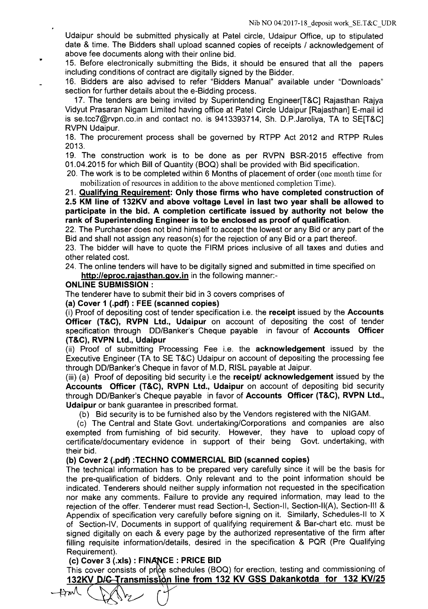Udaipur should be submitted physically at Patel circle, Udaipur Office, up to stipulated date & time. The Bidders shall upload scanned copies of receipts / acknowledgement of above fee documents along with their online bid.

15. Before electronically submitting the Bids, it should be ensured that all the papers including conditions of contract are digitally signed by the Bidder.

16. Bidders are also advised to refer "Bidders Manual" available under "Downloads" section for further details about the e-Bidding process.

17. The tenders are being invited by Superintending Engineer[T&C] Rajasthan Rajya Vidyut Prasaran Nigam Limited having office at Patel Circle Udaipur [Rajasthan] E-mail id is se.tcc7@rvpn.co.in and contact no. is 9413393714, Sh. D.P.Jaroliya, TA to SE[T&C] RVPN Udaipur.

18. The procurement process shall be governed by RTPP Act 2012 and RTPP Rules 2013.

19. The construction work is to be done as per RVPN BSR-2015 effective from 01.04.2015 for which Bill of Quantity (BOQ) shall be provided with Bid specification.

20. The work is to be completed within 6 Months of placement of order (one month time for mobilization of resources in addition to the above mentioned completion Time).

21. Qualifying Requirement: Only those firms who have completed construction of 2.5 KM line of 132KV and above voltage Level in last two year shall be allowed to participate in the bid. A completion certificate issued by authority not below the rank of Superintending Engineer is to be enclosed as proof of qualification.

22. The Purchaser does not bind himself to accept the lowest or any Bid or any part of the Bid and shall not assign any reason(s) for the rejection of any Bid or a part thereof.

23. The bidder will have to quote the FIRM prices inclusive of all taxes and duties and other related cost.

24. The online tenders will have to be digitally signed and submitted in time specified on http://eproc.rajasthan.gov.in in the following manner:-

#### ONLINE SUBMISSION:

..

The tenderer have to submit their bid in 3 covers comprises of

(a) Cover 1 (.pdf) : FEE (scanned copies)

(i) Proof of depositing cost of tender specification i.e. the receipt issued by the Accounts Officer (T&C), RVPN Ltd., Udaipur on account of depositing the cost of tender specification through DO/Banker's Cheque payable in favour of Accounts Officer (T&C), RVPN Ltd., Udaipur

(ii) Proof of submitting Processing Fee i.e. the acknowledgement issued by the Executive Engineer (TA to SE T&C) Udaipur on account of depositing the processing fee through DO/Banker's Cheque in favor of M.D, RISL payable at Jaipur.

(iii) (a) Proof of depositing bid security i.e the **receipt' acknowledgement** issued by the Accounts Officer (T&C), RVPN Ltd., Udaipur on account of depositing bid security through DO/Banker's Cheque payable in favor of Accounts Officer (T&C), RVPN Ltd., Udaipur or bank guarantee in prescribed format.

(b) Bid security is to be furnished also by the Vendors registered with the NIGAM.

(c) The Central and State Govt. undertaking/Corporations and companies are also exempted from furnishing of bid security. However, they have to upload copy of certificate/documentary evidence in support of their being Govt. undertaking, with their bid.

## (b) Cover 2 (.pdf) :TECHNO COMMERCIAL BID (scanned copies)

The technical information has to be prepared very carefully since it will be the basis for the pre-qualification of bidders. Only relevant and to the point information should be indicated. Tenderers should neither supply information not requested in the specification nor make any comments. Failure to provide any required information, may lead to the rejection of the offer. Tenderer must read Section-I, Section-II, Section-II(A), Section-III & Appendix of specification very carefully before signing on it. Similarly, Schedules-II to X of Section-IV, Documents in support of qualifying requirement & Bar-chart etc. must be signed digitally on each & every page by the authorized representative of the firm after filling requisite information/details, desired in the specification & PQR (Pre Qualifying Requirement).

## (c) Cover 3 (.xls) : FINANCE : PRICE BID

This cover consists of pr $\downarrow$ e schedules (BOQ) for erection, testing and commissioning of <u>132KV D/<del>C T</del>ransmission line from 132 KV GSS Dakankotda for 132 KV/25</u>

 $Am($